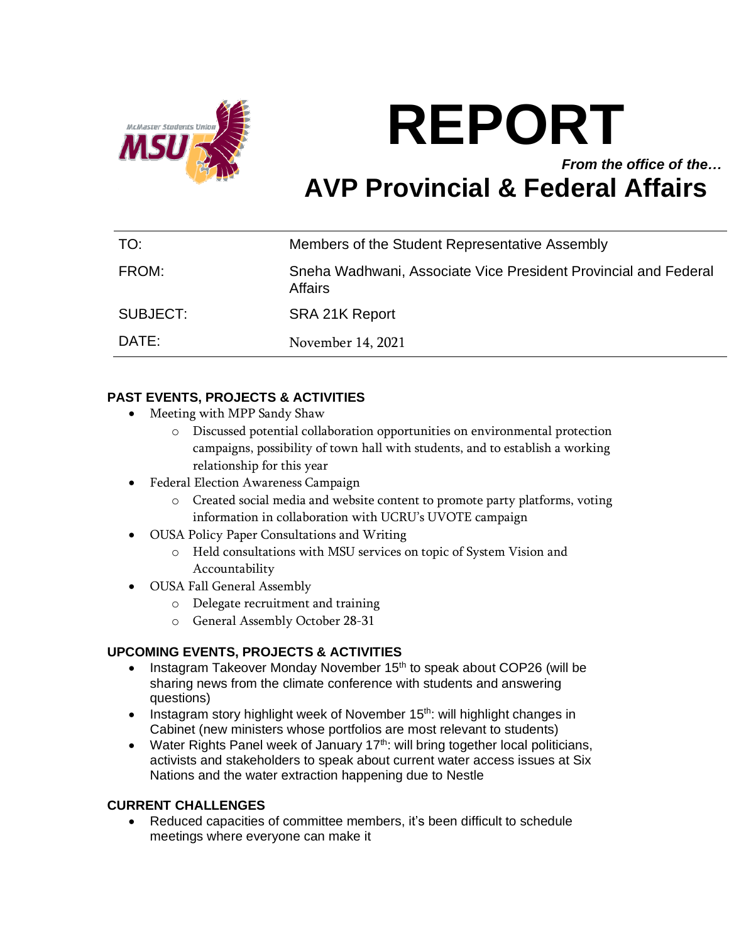

# **REPORT** *From the office of the…* **AVP Provincial & Federal Affairs**

| TO:      | Members of the Student Representative Assembly                             |
|----------|----------------------------------------------------------------------------|
| FROM:    | Sneha Wadhwani, Associate Vice President Provincial and Federal<br>Affairs |
| SUBJECT: | SRA 21K Report                                                             |
| DATE:    | November 14, 2021                                                          |

## **PAST EVENTS, PROJECTS & ACTIVITIES**

- Meeting with MPP Sandy Shaw
	- o Discussed potential collaboration opportunities on environmental protection campaigns, possibility of town hall with students, and to establish a working relationship for this year
- Federal Election Awareness Campaign
	- o Created social media and website content to promote party platforms, voting information in collaboration with UCRU's UVOTE campaign
- OUSA Policy Paper Consultations and Writing
	- o Held consultations with MSU services on topic of System Vision and Accountability
- OUSA Fall General Assembly
	- o Delegate recruitment and training
	- o General Assembly October 28-31

### **UPCOMING EVENTS, PROJECTS & ACTIVITIES**

- Instagram Takeover Monday November 15<sup>th</sup> to speak about COP26 (will be sharing news from the climate conference with students and answering questions)
- Instagram story highlight week of November 15<sup>th</sup>: will highlight changes in Cabinet (new ministers whose portfolios are most relevant to students)
- Water Rights Panel week of January  $17<sup>th</sup>$ : will bring together local politicians, activists and stakeholders to speak about current water access issues at Six Nations and the water extraction happening due to Nestle

#### **CURRENT CHALLENGES**

• Reduced capacities of committee members, it's been difficult to schedule meetings where everyone can make it